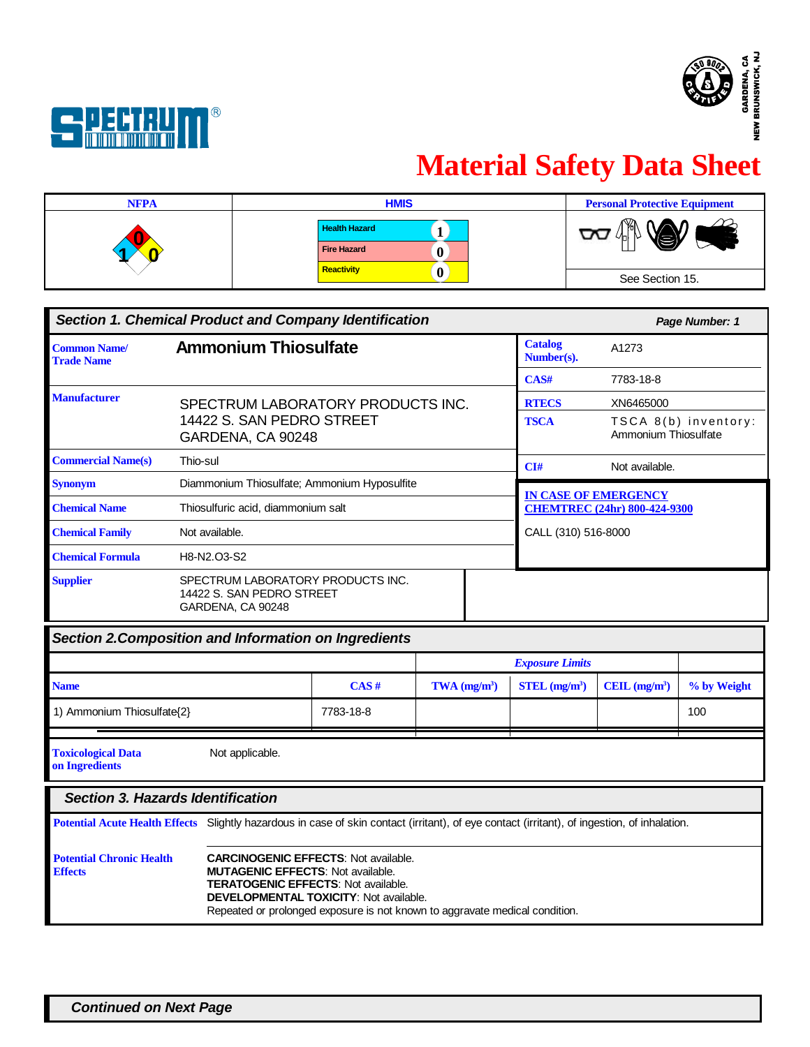



# **Material Safety Data Sheet**

| <b>NFPA</b> | <b>HMIS</b>                                | <b>Personal Protective Equipment</b> |
|-------------|--------------------------------------------|--------------------------------------|
|             | <b>Health Hazard</b><br><b>Fire Hazard</b> | M                                    |
|             | Reactivity                                 | See Section 15.                      |

|                                                              | <b>Section 1. Chemical Product and Company Identification</b>                       |  |                                                                                           | Page Number: 1                               |  |
|--------------------------------------------------------------|-------------------------------------------------------------------------------------|--|-------------------------------------------------------------------------------------------|----------------------------------------------|--|
| <b>Common Name/</b><br><b>Trade Name</b>                     | <b>Ammonium Thiosulfate</b>                                                         |  | <b>Catalog</b><br>Number(s).                                                              | A1273                                        |  |
|                                                              |                                                                                     |  | CAS#                                                                                      | 7783-18-8                                    |  |
| <b>Manufacturer</b>                                          | SPECTRUM LABORATORY PRODUCTS INC.                                                   |  | <b>RTECS</b>                                                                              | XN6465000                                    |  |
|                                                              | 14422 S. SAN PEDRO STREET<br>GARDENA, CA 90248                                      |  | <b>TSCA</b>                                                                               | TSCA 8(b) inventory:<br>Ammonium Thiosulfate |  |
| <b>Commercial Name(s)</b>                                    | Thio-sul                                                                            |  | CI#                                                                                       | Not available.                               |  |
| <b>Synonym</b>                                               | Diammonium Thiosulfate; Ammonium Hyposulfite                                        |  |                                                                                           |                                              |  |
| <b>Chemical Name</b>                                         | Thiosulfuric acid, diammonium salt                                                  |  | <b>IN CASE OF EMERGENCY</b><br><b>CHEMTREC (24hr) 800-424-9300</b><br>CALL (310) 516-8000 |                                              |  |
| Not available.<br><b>Chemical Family</b>                     |                                                                                     |  |                                                                                           |                                              |  |
| <b>Chemical Formula</b>                                      | H8-N2.03-S2                                                                         |  |                                                                                           |                                              |  |
| <b>Supplier</b>                                              | SPECTRUM LABORATORY PRODUCTS INC.<br>14422 S. SAN PEDRO STREET<br>GARDENA, CA 90248 |  |                                                                                           |                                              |  |
| <b>Section 2. Composition and Information on Ingredients</b> |                                                                                     |  |                                                                                           |                                              |  |

|                                                   |                                                                                                                                       |           |                            | <b>Exposure Limits</b>      |                |             |  |
|---------------------------------------------------|---------------------------------------------------------------------------------------------------------------------------------------|-----------|----------------------------|-----------------------------|----------------|-------------|--|
| <b>Name</b>                                       |                                                                                                                                       | CAS#      | $TWA$ (mg/m <sup>3</sup> ) | $STEL$ (mg/m <sup>3</sup> ) | CEIL $(mg/m3)$ | % by Weight |  |
| 1) Ammonium Thiosulfate(2)                        |                                                                                                                                       | 7783-18-8 |                            |                             |                | 100         |  |
| <b>Toxicological Data</b><br>on Ingredients       | Not applicable.                                                                                                                       |           |                            |                             |                |             |  |
|                                                   | Section 3. Hazards Identification                                                                                                     |           |                            |                             |                |             |  |
| <b>Potential Acute Health Effects</b>             | Slightly hazardous in case of skin contact (irritant), of eye contact (irritant), of ingestion, of inhalation.                        |           |                            |                             |                |             |  |
| <b>Potential Chronic Health</b><br><b>Effects</b> | <b>CARCINOGENIC EFFECTS: Not available.</b><br><b>MUTAGENIC EFFECTS: Not available.</b><br><b>TERATOGENIC EFFECTS: Not available.</b> |           |                            |                             |                |             |  |

Repeated or prolonged exposure is not known to aggravate medical condition.

**DEVELOPMENTAL TOXICITY**: Not available.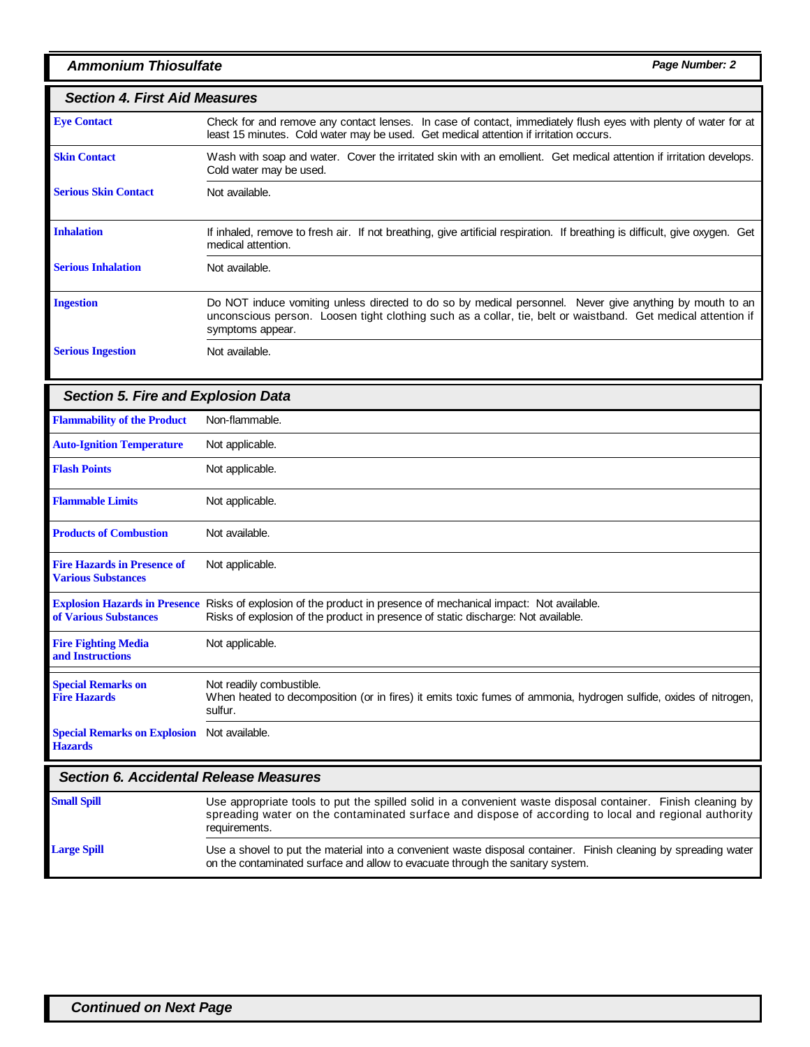# *Ammonium Thiosulfate Page Number: 2*

# *Section 4. First Aid Measures*

| <b>Eve Contact</b>          | Check for and remove any contact lenses. In case of contact, immediately flush eyes with plenty of water for at<br>least 15 minutes. Cold water may be used. Get medical attention if irritation occurs.                                     |  |  |  |  |  |
|-----------------------------|----------------------------------------------------------------------------------------------------------------------------------------------------------------------------------------------------------------------------------------------|--|--|--|--|--|
| <b>Skin Contact</b>         | Wash with soap and water. Cover the irritated skin with an emollient. Get medical attention if irritation develops.<br>Cold water may be used.                                                                                               |  |  |  |  |  |
| <b>Serious Skin Contact</b> | Not available.                                                                                                                                                                                                                               |  |  |  |  |  |
| <b>Inhalation</b>           | If inhaled, remove to fresh air. If not breathing, give artificial respiration. If breathing is difficult, give oxygen. Get<br>medical attention.                                                                                            |  |  |  |  |  |
| <b>Serious Inhalation</b>   | Not available.                                                                                                                                                                                                                               |  |  |  |  |  |
| <b>Ingestion</b>            | Do NOT induce vomiting unless directed to do so by medical personnel. Never give anything by mouth to an<br>unconscious person. Loosen tight clothing such as a collar, tie, belt or waistband. Get medical attention if<br>symptoms appear. |  |  |  |  |  |
| <b>Serious Ingestion</b>    | Not available.                                                                                                                                                                                                                               |  |  |  |  |  |

| <b>Section 5. Fire and Explosion Data</b>                       |                                                                                                                                                                                                       |
|-----------------------------------------------------------------|-------------------------------------------------------------------------------------------------------------------------------------------------------------------------------------------------------|
| <b>Flammability of the Product</b>                              | Non-flammable.                                                                                                                                                                                        |
| <b>Auto-Ignition Temperature</b>                                | Not applicable.                                                                                                                                                                                       |
| <b>Flash Points</b>                                             | Not applicable.                                                                                                                                                                                       |
| <b>Flammable Limits</b>                                         | Not applicable.                                                                                                                                                                                       |
| <b>Products of Combustion</b>                                   | Not available.                                                                                                                                                                                        |
| <b>Fire Hazards in Presence of</b><br><b>Various Substances</b> | Not applicable.                                                                                                                                                                                       |
| of Various Substances                                           | Explosion Hazards in Presence Risks of explosion of the product in presence of mechanical impact: Not available.<br>Risks of explosion of the product in presence of static discharge: Not available. |
| <b>Fire Fighting Media</b><br>and Instructions                  | Not applicable.                                                                                                                                                                                       |
| <b>Special Remarks on</b><br><b>Fire Hazards</b>                | Not readily combustible.<br>When heated to decomposition (or in fires) it emits toxic fumes of ammonia, hydrogen sulfide, oxides of nitrogen,<br>sulfur.                                              |
| <b>Special Remarks on Explosion</b><br><b>Hazards</b>           | Not available.                                                                                                                                                                                        |
| <b>Section 6. Accidental Release Measures</b>                   |                                                                                                                                                                                                       |
| $C_{\text{max}} = 11, C_{\text{max}} = 11$                      | المراجية المتلوية المتمالية والمستقل والمستقل والمستقلة والمستقل والمستقل والمستقلة<br>المتحام فالمتحاف المتحام متمالي المقتصدون فمرماة<br>Plate la calendaria di                                     |

| <b>Small Spill</b> | Use appropriate tools to put the spilled solid in a convenient waste disposal container. Finish cleaning by<br>spreading water on the contaminated surface and dispose of according to local and regional authority<br>requirements. |
|--------------------|--------------------------------------------------------------------------------------------------------------------------------------------------------------------------------------------------------------------------------------|
| <b>Large Spill</b> | Use a shovel to put the material into a convenient waste disposal container. Finish cleaning by spreading water<br>on the contaminated surface and allow to evacuate through the sanitary system.                                    |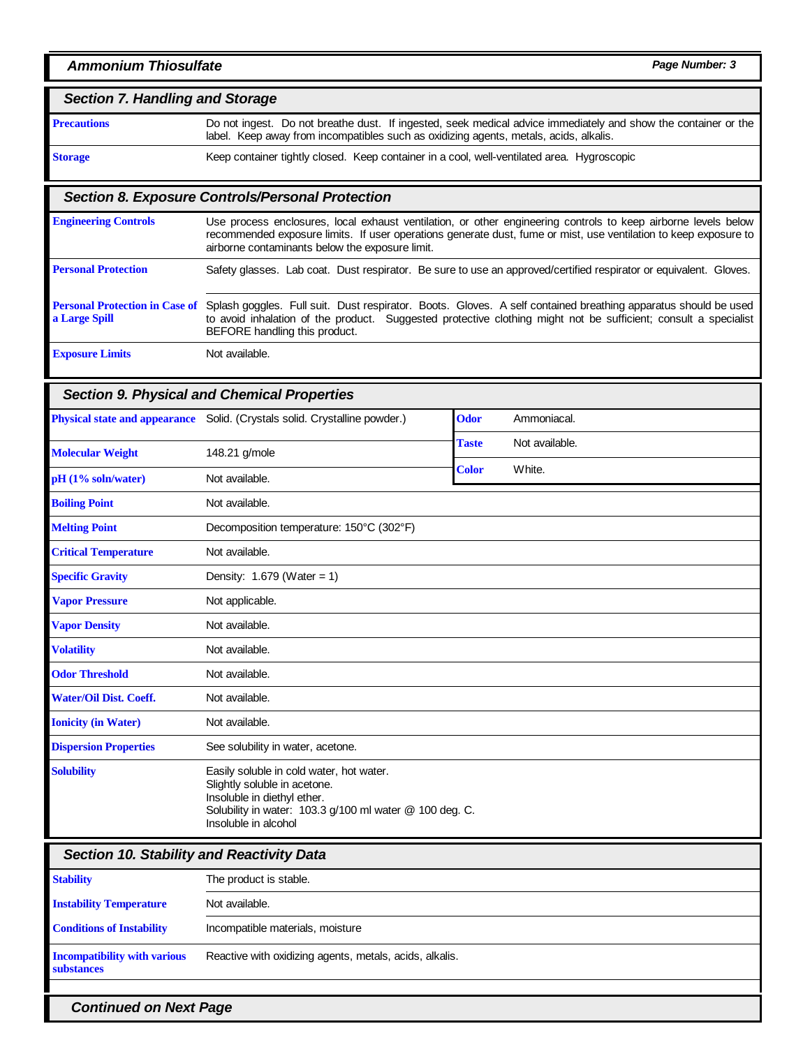### *Section 7. Handling and Storage*

**Precautions**

Do not ingest. Do not breathe dust. If ingested, seek medical advice immediately and show the container or the label. Keep away from incompatibles such as oxidizing agents, metals, acids, alkalis.

**Storage**

## *Section 8. Exposure Controls/Personal Protection*

| <b>Engineering Controls</b>                            | Use process enclosures, local exhaust ventilation, or other engineering controls to keep airborne levels below<br>recommended exposure limits. If user operations generate dust, fume or mist, use ventilation to keep exposure to<br>airborne contaminants below the exposure limit. |  |  |  |  |
|--------------------------------------------------------|---------------------------------------------------------------------------------------------------------------------------------------------------------------------------------------------------------------------------------------------------------------------------------------|--|--|--|--|
| <b>Personal Protection</b>                             | Safety glasses. Lab coat. Dust respirator. Be sure to use an approved/certified respirator or equivalent. Gloves.                                                                                                                                                                     |  |  |  |  |
| <b>Personal Protection in Case of</b><br>a Large Spill | Splash goggles. Full suit. Dust respirator. Boots. Gloves. A self contained breathing apparatus should be used<br>to avoid inhalation of the product. Suggested protective clothing might not be sufficient; consult a specialist<br>BEFORE handling this product.                    |  |  |  |  |
| <b>Exposure Limits</b>                                 | Not available.                                                                                                                                                                                                                                                                        |  |  |  |  |

Keep container tightly closed. Keep container in a cool, well-ventilated area. Hygroscopic

#### *Section 9. Physical and Chemical Properties*

| <b>Physical state and appearance</b> | Solid. (Crystals solid. Crystalline powder.)                                                                                                                                               | <b>Odor</b>  | Ammoniacal.    |  |  |
|--------------------------------------|--------------------------------------------------------------------------------------------------------------------------------------------------------------------------------------------|--------------|----------------|--|--|
|                                      |                                                                                                                                                                                            | <b>Taste</b> | Not available. |  |  |
| <b>Molecular Weight</b>              | 148.21 g/mole                                                                                                                                                                              | <b>Color</b> | White.         |  |  |
| $pH(1\% soln/water)$                 | Not available.                                                                                                                                                                             |              |                |  |  |
| <b>Boiling Point</b>                 | Not available.                                                                                                                                                                             |              |                |  |  |
| <b>Melting Point</b>                 | Decomposition temperature: 150°C (302°F)                                                                                                                                                   |              |                |  |  |
| <b>Critical Temperature</b>          | Not available.                                                                                                                                                                             |              |                |  |  |
| <b>Specific Gravity</b>              | Density: $1.679$ (Water = 1)                                                                                                                                                               |              |                |  |  |
| <b>Vapor Pressure</b>                | Not applicable.                                                                                                                                                                            |              |                |  |  |
| <b>Vapor Density</b>                 | Not available.                                                                                                                                                                             |              |                |  |  |
| <b>Volatility</b>                    | Not available.                                                                                                                                                                             |              |                |  |  |
| <b>Odor Threshold</b>                | Not available.                                                                                                                                                                             |              |                |  |  |
| <b>Water/Oil Dist. Coeff.</b>        | Not available.                                                                                                                                                                             |              |                |  |  |
| <b>Ionicity (in Water)</b>           | Not available.                                                                                                                                                                             |              |                |  |  |
| <b>Dispersion Properties</b>         | See solubility in water, acetone.                                                                                                                                                          |              |                |  |  |
| <b>Solubility</b>                    | Easily soluble in cold water, hot water.<br>Slightly soluble in acetone.<br>Insoluble in diethyl ether.<br>Solubility in water: 103.3 g/100 ml water @ 100 deg. C.<br>Insoluble in alcohol |              |                |  |  |

## *Section 10. Stability and Reactivity Data*

| <b>Stability</b>                                         | The product is stable.                                  |
|----------------------------------------------------------|---------------------------------------------------------|
| <b>Instability Temperature</b>                           | Not available.                                          |
| <b>Conditions of Instability</b>                         | Incompatible materials, moisture                        |
| <b>Incompatibility with various</b><br><b>substances</b> | Reactive with oxidizing agents, metals, acids, alkalis. |
|                                                          |                                                         |

*Continued on Next Page*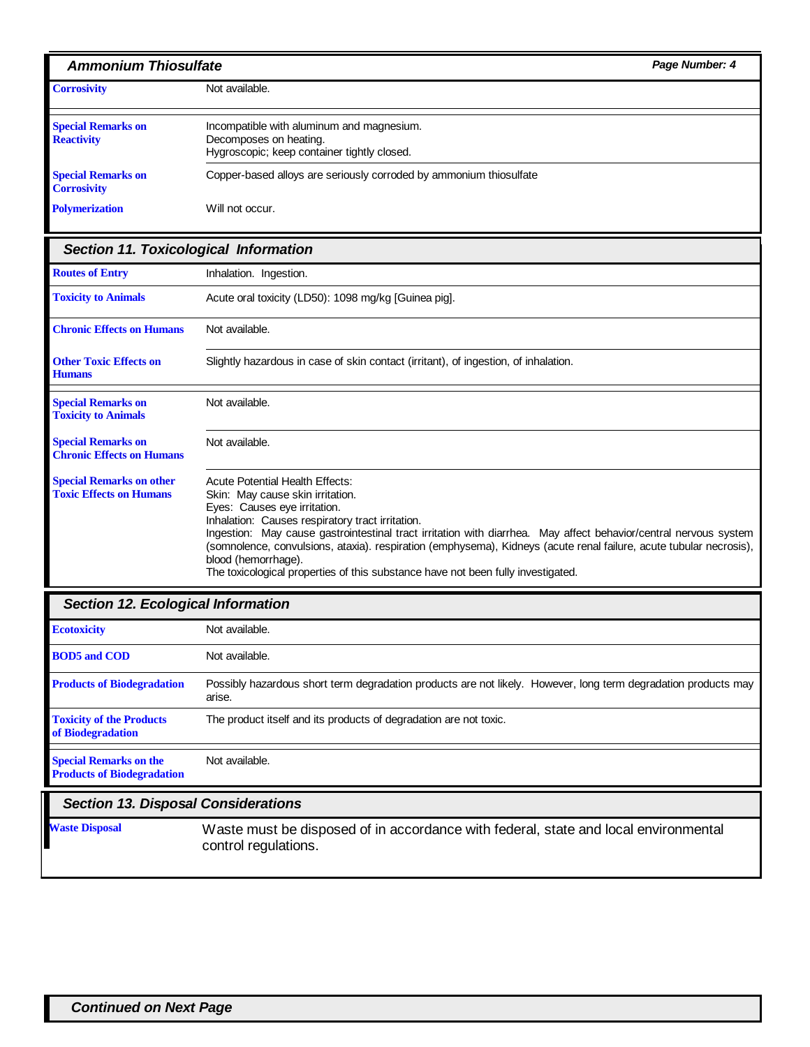| <b>Ammonium Thiosulfate</b>                                        |                                                                                                                                                                                                                                                                                                                                                                                                                                                                                                                     | Page Number: 4 |
|--------------------------------------------------------------------|---------------------------------------------------------------------------------------------------------------------------------------------------------------------------------------------------------------------------------------------------------------------------------------------------------------------------------------------------------------------------------------------------------------------------------------------------------------------------------------------------------------------|----------------|
| <b>Corrosivity</b>                                                 | Not available.                                                                                                                                                                                                                                                                                                                                                                                                                                                                                                      |                |
| <b>Special Remarks on</b><br><b>Reactivity</b>                     | Incompatible with aluminum and magnesium.<br>Decomposes on heating.<br>Hygroscopic; keep container tightly closed.                                                                                                                                                                                                                                                                                                                                                                                                  |                |
| <b>Special Remarks on</b><br><b>Corrosivity</b>                    | Copper-based alloys are seriously corroded by ammonium thiosulfate                                                                                                                                                                                                                                                                                                                                                                                                                                                  |                |
| <b>Polymerization</b>                                              | Will not occur.                                                                                                                                                                                                                                                                                                                                                                                                                                                                                                     |                |
| <b>Section 11. Toxicological Information</b>                       |                                                                                                                                                                                                                                                                                                                                                                                                                                                                                                                     |                |
| <b>Routes of Entry</b>                                             | Inhalation. Ingestion.                                                                                                                                                                                                                                                                                                                                                                                                                                                                                              |                |
| <b>Toxicity to Animals</b>                                         | Acute oral toxicity (LD50): 1098 mg/kg [Guinea pig].                                                                                                                                                                                                                                                                                                                                                                                                                                                                |                |
| <b>Chronic Effects on Humans</b>                                   | Not available.                                                                                                                                                                                                                                                                                                                                                                                                                                                                                                      |                |
| <b>Other Toxic Effects on</b><br>Humans                            | Slightly hazardous in case of skin contact (irritant), of ingestion, of inhalation.                                                                                                                                                                                                                                                                                                                                                                                                                                 |                |
| <b>Special Remarks on</b><br><b>Toxicity to Animals</b>            | Not available.                                                                                                                                                                                                                                                                                                                                                                                                                                                                                                      |                |
| <b>Special Remarks on</b><br><b>Chronic Effects on Humans</b>      | Not available.                                                                                                                                                                                                                                                                                                                                                                                                                                                                                                      |                |
| <b>Special Remarks on other</b><br><b>Toxic Effects on Humans</b>  | <b>Acute Potential Health Effects:</b><br>Skin: May cause skin irritation.<br>Eyes: Causes eye irritation.<br>Inhalation: Causes respiratory tract irritation.<br>Ingestion: May cause gastrointestinal tract irritation with diarrhea. May affect behavior/central nervous system<br>(somnolence, convulsions, ataxia). respiration (emphysema), Kidneys (acute renal failure, acute tubular necrosis),<br>blood (hemorrhage).<br>The toxicological properties of this substance have not been fully investigated. |                |
| <b>Section 12. Ecological Information</b>                          |                                                                                                                                                                                                                                                                                                                                                                                                                                                                                                                     |                |
| <b>Ecotoxicity</b>                                                 | Not available.                                                                                                                                                                                                                                                                                                                                                                                                                                                                                                      |                |
| <b>BOD5</b> and COD                                                | Not available.                                                                                                                                                                                                                                                                                                                                                                                                                                                                                                      |                |
| <b>Products of Biodegradation</b>                                  | Possibly hazardous short term degradation products are not likely. However, long term degradation products may<br>arise.                                                                                                                                                                                                                                                                                                                                                                                            |                |
| <b>Toxicity of the Products</b><br>of Biodegradation               | The product itself and its products of degradation are not toxic.                                                                                                                                                                                                                                                                                                                                                                                                                                                   |                |
| <b>Special Remarks on the</b><br><b>Products of Biodegradation</b> | Not available.                                                                                                                                                                                                                                                                                                                                                                                                                                                                                                      |                |
| <b>Section 13. Disposal Considerations</b>                         |                                                                                                                                                                                                                                                                                                                                                                                                                                                                                                                     |                |
| <b>Waste Disposal</b>                                              | Waste must be disposed of in accordance with federal, state and local environmental                                                                                                                                                                                                                                                                                                                                                                                                                                 |                |

control regulations.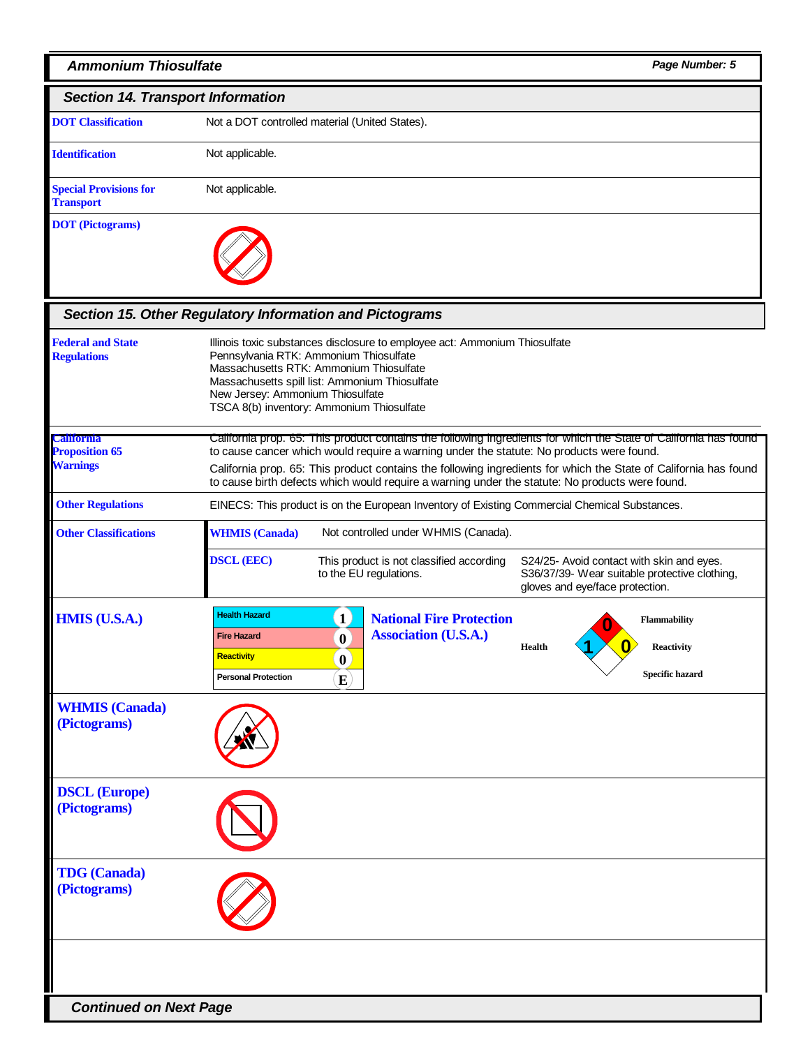# *Ammonium Thiosulfate Page Number: 5*

| <b>Section 14. Transport Information</b>          |                                                |  |  |  |
|---------------------------------------------------|------------------------------------------------|--|--|--|
| <b>DOT</b> Classification                         | Not a DOT controlled material (United States). |  |  |  |
| <b>Identification</b>                             | Not applicable.                                |  |  |  |
| <b>Special Provisions for</b><br><b>Transport</b> | Not applicable.                                |  |  |  |
| <b>DOT</b> (Pictograms)                           |                                                |  |  |  |

## *Section 15. Other Regulatory Information and Pictograms*

| <b>Federal and State</b><br><b>Regulations</b>                | Illinois toxic substances disclosure to employee act: Ammonium Thiosulfate<br>Pennsylvania RTK: Ammonium Thiosulfate<br>Massachusetts RTK: Ammonium Thiosulfate<br>Massachusetts spill list: Ammonium Thiosulfate<br>New Jersey: Ammonium Thiosulfate<br>TSCA 8(b) inventory: Ammonium Thiosulfate                                                                                                                                  |                                                      |                                                                                               |               |  |                                                                    |
|---------------------------------------------------------------|-------------------------------------------------------------------------------------------------------------------------------------------------------------------------------------------------------------------------------------------------------------------------------------------------------------------------------------------------------------------------------------------------------------------------------------|------------------------------------------------------|-----------------------------------------------------------------------------------------------|---------------|--|--------------------------------------------------------------------|
| <b>California</b><br><b>Proposition 65</b><br><b>Warnings</b> | California prop. 65: This product contains the following ingredients for which the State of California has found<br>to cause cancer which would require a warning under the statute: No products were found.<br>California prop. 65: This product contains the following ingredients for which the State of California has found<br>to cause birth defects which would require a warning under the statute: No products were found. |                                                      |                                                                                               |               |  |                                                                    |
| <b>Other Regulations</b>                                      |                                                                                                                                                                                                                                                                                                                                                                                                                                     |                                                      | EINECS: This product is on the European Inventory of Existing Commercial Chemical Substances. |               |  |                                                                    |
| <b>Other Classifications</b>                                  | <b>WHMIS</b> (Canada)                                                                                                                                                                                                                                                                                                                                                                                                               |                                                      | Not controlled under WHMIS (Canada).                                                          |               |  |                                                                    |
|                                                               | <b>DSCL (EEC)</b><br>This product is not classified according<br>S24/25- Avoid contact with skin and eyes.<br>to the EU regulations.<br>S36/37/39- Wear suitable protective clothing,<br>gloves and eye/face protection.                                                                                                                                                                                                            |                                                      |                                                                                               |               |  |                                                                    |
| <b>HMIS (U.S.A.)</b>                                          | <b>Health Hazard</b><br><b>Fire Hazard</b><br><b>Reactivity</b><br><b>Personal Protection</b>                                                                                                                                                                                                                                                                                                                                       | $\mathbf{1}$<br>$\bf{0}$<br>$\mathbf{0}$<br>$\bf{E}$ | <b>National Fire Protection</b><br><b>Association (U.S.A.)</b>                                | <b>Health</b> |  | <b>Flammability</b><br><b>Reactivity</b><br><b>Specific hazard</b> |
| <b>WHMIS</b> (Canada)<br>(Pictograms)                         |                                                                                                                                                                                                                                                                                                                                                                                                                                     |                                                      |                                                                                               |               |  |                                                                    |
| <b>DSCL (Europe)</b><br>(Pictograms)                          |                                                                                                                                                                                                                                                                                                                                                                                                                                     |                                                      |                                                                                               |               |  |                                                                    |
| <b>TDG</b> (Canada)<br>(Pictograms)                           |                                                                                                                                                                                                                                                                                                                                                                                                                                     |                                                      |                                                                                               |               |  |                                                                    |
|                                                               |                                                                                                                                                                                                                                                                                                                                                                                                                                     |                                                      |                                                                                               |               |  |                                                                    |
| <b>Continued on Next Page</b>                                 |                                                                                                                                                                                                                                                                                                                                                                                                                                     |                                                      |                                                                                               |               |  |                                                                    |